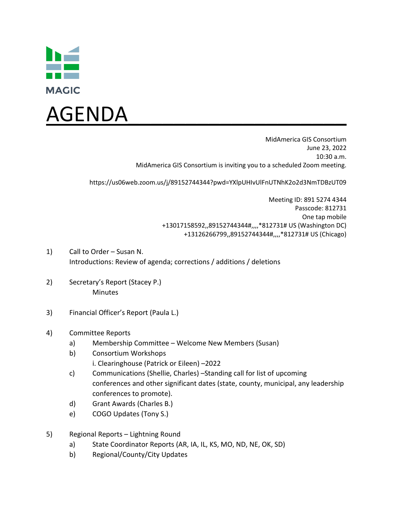



MidAmerica GIS Consortium June 23, 2022 10:30 a.m. MidAmerica GIS Consortium is inviting you to a scheduled Zoom meeting.

https://us06web.zoom.us/j/89152744344?pwd=YXlpUHIvUlFnUTNhK2o2d3NmTDBzUT09

Meeting ID: 891 5274 4344 Passcode: 812731 One tap mobile +13017158592,,89152744344#,,,,\*812731# US (Washington DC) +13126266799,,89152744344#,,,,\*812731# US (Chicago)

- 1) Call to Order Susan N. Introductions: Review of agenda; corrections / additions / deletions
- 2) Secretary's Report (Stacey P.) Minutes
- 3) Financial Officer's Report (Paula L.)
- 4) Committee Reports
	- a) Membership Committee Welcome New Members (Susan)
	- b) Consortium Workshops i. Clearinghouse (Patrick or Eileen) –2022
	- c) Communications (Shellie, Charles) –Standing call for list of upcoming conferences and other significant dates (state, county, municipal, any leadership conferences to promote).
	- d) Grant Awards (Charles B.)
	- e) COGO Updates (Tony S.)
- 5) Regional Reports Lightning Round
	- a) State Coordinator Reports (AR, IA, IL, KS, MO, ND, NE, OK, SD)
	- b) Regional/County/City Updates